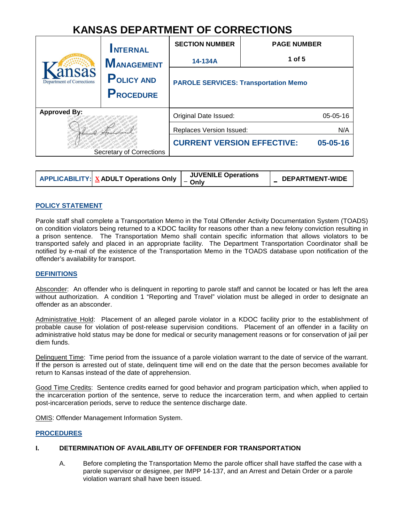# **KANSAS DEPARTMENT OF CORRECTIONS**

| ansas<br><b>Department of Corrections</b> | <b>INTERNAL</b><br><b>MANAGEMENT</b><br><b>POLICY AND</b><br><b>PROCEDURE</b> | <b>SECTION NUMBER</b><br>14-134A<br><b>PAROLE SERVICES: Transportation Memo</b> | <b>PAGE NUMBER</b><br>1 of $5$ |
|-------------------------------------------|-------------------------------------------------------------------------------|---------------------------------------------------------------------------------|--------------------------------|
| <b>Approved By:</b>                       |                                                                               | Original Date Issued:                                                           | 05-05-16                       |
|                                           |                                                                               | Replaces Version Issued:                                                        | N/A                            |
| Secretary of Corrections                  |                                                                               | <b>CURRENT VERSION EFFECTIVE:</b>                                               | 05-05-16                       |

| <b>APPLICABILITY:</b> $\underline{X}$ ADULT Operations Only $\begin{bmatrix} 0 & 0 & 0 \\ - & 0 & 0 \\ 0 & 0 & 0 \end{bmatrix}$ | <b>JUVENILE Operations</b> | <b>DEPARTMENT-WIDE</b> |
|---------------------------------------------------------------------------------------------------------------------------------|----------------------------|------------------------|
|                                                                                                                                 |                            |                        |

## **POLICY STATEMENT**

Parole staff shall complete a Transportation Memo in the Total Offender Activity Documentation System (TOADS) on condition violators being returned to a KDOC facility for reasons other than a new felony conviction resulting in a prison sentence. The Transportation Memo shall contain specific information that allows violators to be transported safely and placed in an appropriate facility. The Department Transportation Coordinator shall be notified by e-mail of the existence of the Transportation Memo in the TOADS database upon notification of the offender's availability for transport.

#### **DEFINITIONS**

Absconder: An offender who is delinquent in reporting to parole staff and cannot be located or has left the area without authorization. A condition 1 "Reporting and Travel" violation must be alleged in order to designate an offender as an absconder.

Administrative Hold: Placement of an alleged parole violator in a KDOC facility prior to the establishment of probable cause for violation of post-release supervision conditions. Placement of an offender in a facility on administrative hold status may be done for medical or security management reasons or for conservation of jail per diem funds.

Delinquent Time: Time period from the issuance of a parole violation warrant to the date of service of the warrant. If the person is arrested out of state, delinquent time will end on the date that the person becomes available for return to Kansas instead of the date of apprehension.

Good Time Credits: Sentence credits earned for good behavior and program participation which, when applied to the incarceration portion of the sentence, serve to reduce the incarceration term, and when applied to certain post-incarceration periods, serve to reduce the sentence discharge date.

OMIS: Offender Management Information System.

#### **PROCEDURES**

#### **I. DETERMINATION OF AVAILABILITY OF OFFENDER FOR TRANSPORTATION**

A. Before completing the Transportation Memo the parole officer shall have staffed the case with a parole supervisor or designee, per IMPP 14-137, and an Arrest and Detain Order or a parole violation warrant shall have been issued.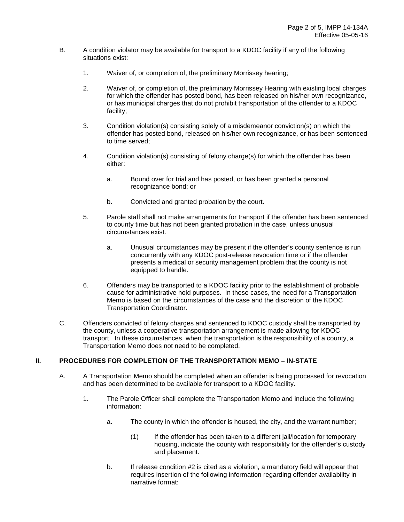- B. A condition violator may be available for transport to a KDOC facility if any of the following situations exist:
	- 1. Waiver of, or completion of, the preliminary Morrissey hearing;
	- 2. Waiver of, or completion of, the preliminary Morrissey Hearing with existing local charges for which the offender has posted bond, has been released on his/her own recognizance, or has municipal charges that do not prohibit transportation of the offender to a KDOC facility;
	- 3. Condition violation(s) consisting solely of a misdemeanor conviction(s) on which the offender has posted bond, released on his/her own recognizance, or has been sentenced to time served;
	- 4. Condition violation(s) consisting of felony charge(s) for which the offender has been either:
		- a. Bound over for trial and has posted, or has been granted a personal recognizance bond; or
		- b. Convicted and granted probation by the court.
	- 5. Parole staff shall not make arrangements for transport if the offender has been sentenced to county time but has not been granted probation in the case, unless unusual circumstances exist.
		- a. Unusual circumstances may be present if the offender's county sentence is run concurrently with any KDOC post-release revocation time or if the offender presents a medical or security management problem that the county is not equipped to handle.
	- 6. Offenders may be transported to a KDOC facility prior to the establishment of probable cause for administrative hold purposes. In these cases, the need for a Transportation Memo is based on the circumstances of the case and the discretion of the KDOC Transportation Coordinator.
- C. Offenders convicted of felony charges and sentenced to KDOC custody shall be transported by the county, unless a cooperative transportation arrangement is made allowing for KDOC transport. In these circumstances, when the transportation is the responsibility of a county, a Transportation Memo does not need to be completed.

## **II. PROCEDURES FOR COMPLETION OF THE TRANSPORTATION MEMO – IN-STATE**

- A. A Transportation Memo should be completed when an offender is being processed for revocation and has been determined to be available for transport to a KDOC facility.
	- 1. The Parole Officer shall complete the Transportation Memo and include the following information:
		- a. The county in which the offender is housed, the city, and the warrant number;
			- (1) If the offender has been taken to a different jail/location for temporary housing, indicate the county with responsibility for the offender's custody and placement.
		- b. If release condition #2 is cited as a violation, a mandatory field will appear that requires insertion of the following information regarding offender availability in narrative format: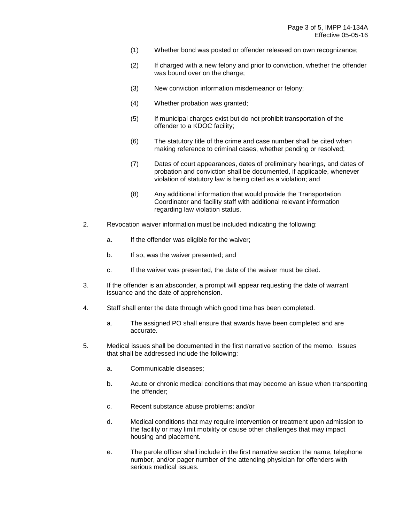- (1) Whether bond was posted or offender released on own recognizance;
- (2) If charged with a new felony and prior to conviction, whether the offender was bound over on the charge;
- (3) New conviction information misdemeanor or felony;
- (4) Whether probation was granted;
- (5) If municipal charges exist but do not prohibit transportation of the offender to a KDOC facility;
- (6) The statutory title of the crime and case number shall be cited when making reference to criminal cases, whether pending or resolved;
- (7) Dates of court appearances, dates of preliminary hearings, and dates of probation and conviction shall be documented, if applicable, whenever violation of statutory law is being cited as a violation; and
- (8) Any additional information that would provide the Transportation Coordinator and facility staff with additional relevant information regarding law violation status.
- 2. Revocation waiver information must be included indicating the following:
	- a. If the offender was eligible for the waiver;
	- b. If so, was the waiver presented; and
	- c. If the waiver was presented, the date of the waiver must be cited.
- 3. If the offender is an absconder, a prompt will appear requesting the date of warrant issuance and the date of apprehension.
- 4. Staff shall enter the date through which good time has been completed.
	- a. The assigned PO shall ensure that awards have been completed and are accurate.
- 5. Medical issues shall be documented in the first narrative section of the memo. Issues that shall be addressed include the following:
	- a. Communicable diseases;
	- b. Acute or chronic medical conditions that may become an issue when transporting the offender;
	- c. Recent substance abuse problems; and/or
	- d. Medical conditions that may require intervention or treatment upon admission to the facility or may limit mobility or cause other challenges that may impact housing and placement.
	- e. The parole officer shall include in the first narrative section the name, telephone number, and/or pager number of the attending physician for offenders with serious medical issues.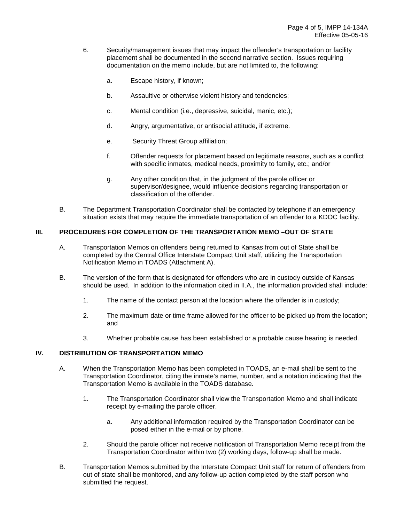- 6. Security/management issues that may impact the offender's transportation or facility placement shall be documented in the second narrative section. Issues requiring documentation on the memo include, but are not limited to, the following:
	- a. Escape history, if known;
	- b. Assaultive or otherwise violent history and tendencies;
	- c. Mental condition (i.e., depressive, suicidal, manic, etc.);
	- d. Angry, argumentative, or antisocial attitude, if extreme.
	- e. Security Threat Group affiliation;
	- f. Offender requests for placement based on legitimate reasons, such as a conflict with specific inmates, medical needs, proximity to family, etc.; and/or
	- g. Any other condition that, in the judgment of the parole officer or supervisor/designee, would influence decisions regarding transportation or classification of the offender.
- B. The Department Transportation Coordinator shall be contacted by telephone if an emergency situation exists that may require the immediate transportation of an offender to a KDOC facility.

# **III. PROCEDURES FOR COMPLETION OF THE TRANSPORTATION MEMO –OUT OF STATE**

- A. Transportation Memos on offenders being returned to Kansas from out of State shall be completed by the Central Office Interstate Compact Unit staff, utilizing the Transportation Notification Memo in TOADS (Attachment A).
- B. The version of the form that is designated for offenders who are in custody outside of Kansas should be used. In addition to the information cited in II.A., the information provided shall include:
	- 1. The name of the contact person at the location where the offender is in custody;
	- 2. The maximum date or time frame allowed for the officer to be picked up from the location; and
	- 3. Whether probable cause has been established or a probable cause hearing is needed.

# **IV. DISTRIBUTION OF TRANSPORTATION MEMO**

- A. When the Transportation Memo has been completed in TOADS, an e-mail shall be sent to the Transportation Coordinator, citing the inmate's name, number, and a notation indicating that the Transportation Memo is available in the TOADS database.
	- 1. The Transportation Coordinator shall view the Transportation Memo and shall indicate receipt by e-mailing the parole officer.
		- a. Any additional information required by the Transportation Coordinator can be posed either in the e-mail or by phone.
	- 2. Should the parole officer not receive notification of Transportation Memo receipt from the Transportation Coordinator within two (2) working days, follow-up shall be made.
- B. Transportation Memos submitted by the Interstate Compact Unit staff for return of offenders from out of state shall be monitored, and any follow-up action completed by the staff person who submitted the request.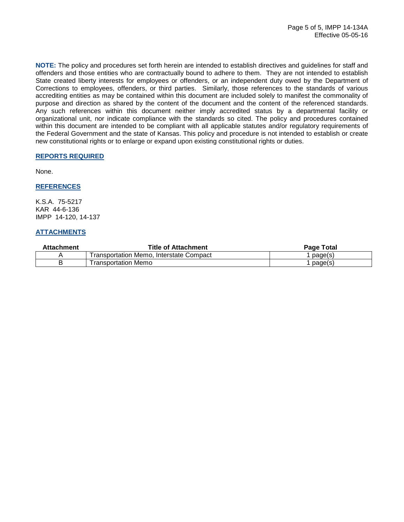**NOTE:** The policy and procedures set forth herein are intended to establish directives and guidelines for staff and offenders and those entities who are contractually bound to adhere to them. They are not intended to establish State created liberty interests for employees or offenders, or an independent duty owed by the Department of Corrections to employees, offenders, or third parties. Similarly, those references to the standards of various accrediting entities as may be contained within this document are included solely to manifest the commonality of purpose and direction as shared by the content of the document and the content of the referenced standards. Any such references within this document neither imply accredited status by a departmental facility or organizational unit, nor indicate compliance with the standards so cited. The policy and procedures contained within this document are intended to be compliant with all applicable statutes and/or regulatory requirements of the Federal Government and the state of Kansas. This policy and procedure is not intended to establish or create new constitutional rights or to enlarge or expand upon existing constitutional rights or duties.

## **REPORTS REQUIRED**

None.

## **REFERENCES**

K.S.A. 75-5217 KAR 44-6-136 IMPP 14-120, 14-137

## **ATTACHMENTS**

| Attachment | Title of Attachment                     | <b>Page Total</b> |
|------------|-----------------------------------------|-------------------|
|            | Transportation Memo. Interstate Compact | page(s)           |
|            | Transportation Memo                     | page(s)           |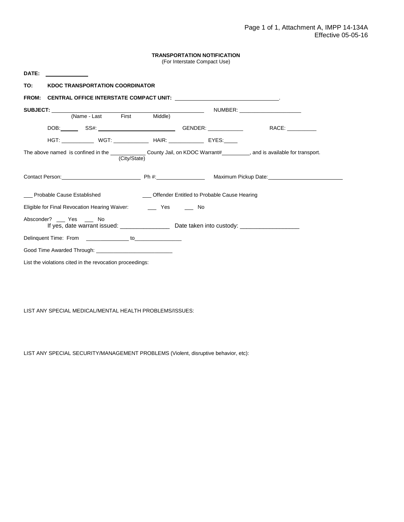| TRANSPORTATION NOTIFICATION |  |
|-----------------------------|--|
|-----------------------------|--|

(For Interstate Compact Use)

| DATE:                                                                                                                                       |                                                |  |
|---------------------------------------------------------------------------------------------------------------------------------------------|------------------------------------------------|--|
| TO:<br><b>KDOC TRANSPORTATION COORDINATOR</b>                                                                                               |                                                |  |
| <b>FROM:</b><br><b>CENTRAL OFFICE INTERSTATE COMPACT UNIT: WE ARRIVE THE RESIDENT OF A SET OF A SET OF A SET OF A SET OF A SET OF</b>       |                                                |  |
|                                                                                                                                             |                                                |  |
|                                                                                                                                             |                                                |  |
|                                                                                                                                             |                                                |  |
|                                                                                                                                             |                                                |  |
| The above named is confined in the ________________County Jail, on KDOC Warrant#__________, and is available for transport.<br>(City/State) |                                                |  |
|                                                                                                                                             |                                                |  |
| __ Probable Cause Established                                                                                                               | __ Offender Entitled to Probable Cause Hearing |  |
|                                                                                                                                             |                                                |  |
| Absconder? ____ Yes _____ No                                                                                                                |                                                |  |
| Delinquent Time: From ________________ to_______________                                                                                    |                                                |  |
|                                                                                                                                             |                                                |  |
| List the violations cited in the revocation proceedings:                                                                                    |                                                |  |

LIST ANY SPECIAL MEDICAL/MENTAL HEALTH PROBLEMS/ISSUES:

LIST ANY SPECIAL SECURITY/MANAGEMENT PROBLEMS (Violent, disruptive behavior, etc):